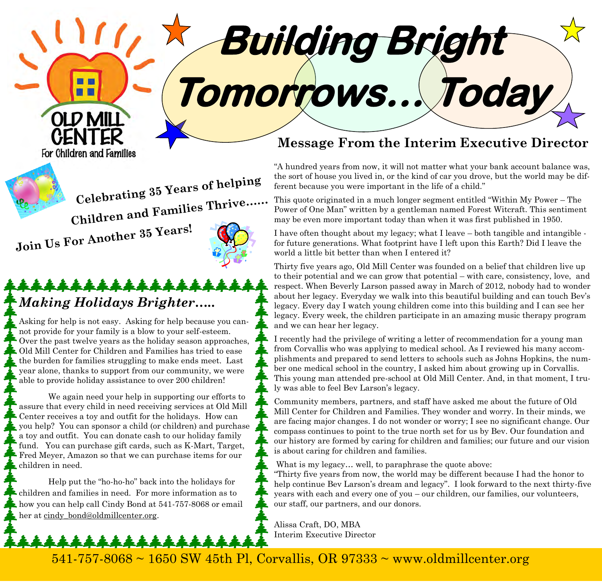**Tomorrows… Today** 

**Building Bright** 

# **Celebrating 35 Years of helping Children and Families Thrive……**

**Join Us For Another 35 Years!**

OLD MI

For Children and Families

## \*\*\*\*\*\*\*\*\*\*\*\*\*\*\* *Making Holidays Brighter…..*

Asking for help is not easy. Asking for help because you cannot provide for your family is a blow to your self-esteem. Over the past twelve years as the holiday season approaches, Old Mill Center for Children and Families has tried to ease the burden for families struggling to make ends meet. Last year alone, thanks to support from our community, we were able to provide holiday assistance to over 200 children!

 We again need your help in supporting our efforts to assure that every child in need receiving services at Old Mill Center receives a toy and outfit for the holidays. How can you help? You can sponsor a child (or children) and purchase a toy and outfit. You can donate cash to our holiday family fund. You can purchase gift cards, such as K-Mart, Target, Fred Meyer, Amazon so that we can purchase items for our children in need.

Help put the "ho-ho-ho" back into the holidays for children and families in need. For more information as to how you can help call Cindy Bond at 541-757-8068 or email her at cindy bond@oldmillcenter.org.

### **Message From the Interim Executive Director**

"A hundred years from now, it will not matter what your bank account balance was, the sort of house you lived in, or the kind of car you drove, but the world may be different because you were important in the life of a child."

This quote originated in a much longer segment entitled "Within My Power – The Power of One Man" written by a gentleman named Forest Witcraft. This sentiment may be even more important today than when it was first published in 1950.

I have often thought about my legacy; what I leave – both tangible and intangible for future generations. What footprint have I left upon this Earth? Did I leave the world a little bit better than when I entered it?

Thirty five years ago, Old Mill Center was founded on a belief that children live up to their potential and we can grow that potential – with care, consistency, love, and respect. When Beverly Larson passed away in March of 2012, nobody had to wonder about her legacy. Everyday we walk into this beautiful building and can touch Bev's legacy. Every day I watch young children come into this building and I can see her legacy. Every week, the children participate in an amazing music therapy program and we can hear her legacy.

I recently had the privilege of writing a letter of recommendation for a young man from Corvallis who was applying to medical school. As I reviewed his many accomplishments and prepared to send letters to schools such as Johns Hopkins, the number one medical school in the country, I asked him about growing up in Corvallis. This young man attended pre-school at Old Mill Center. And, in that moment, I truly was able to feel Bev Larson's legacy.

Community members, partners, and staff have asked me about the future of Old Mill Center for Children and Families. They wonder and worry. In their minds, we are facing major changes. I do not wonder or worry; I see no significant change. Our compass continues to point to the true north set for us by Bev. Our foundation and our history are formed by caring for children and families; our future and our vision is about caring for children and families.

What is my legacy... well, to paraphrase the quote above:

"Thirty five years from now, the world may be different because I had the honor to help continue Bev Larson's dream and legacy". I look forward to the next thirty-five years with each and every one of you – our children, our families, our volunteers, our staff, our partners, and our donors.

Alissa Craft, DO, MBA Interim Executive Director

 $541-757-8068 \sim 1650$  SW 45th Pl, Corvallis, OR 97333  $\sim$  www.oldmillcenter.org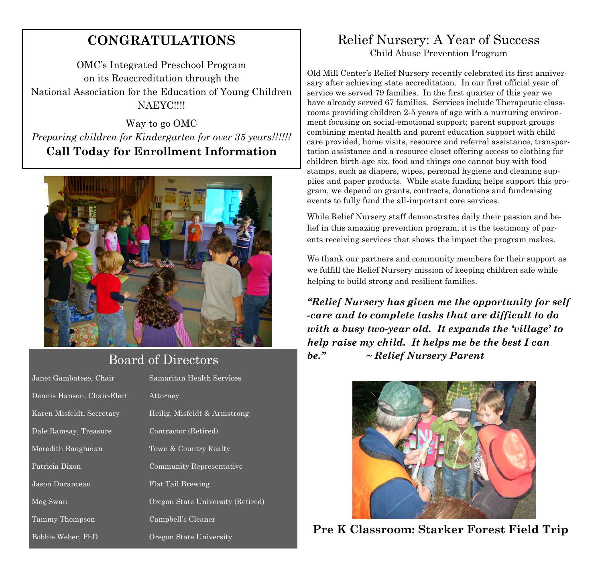### **CONGRATULATIONS**

OMC's Integrated Preschool Program on its Reaccreditation through the National Association for the Education of Young Children NAEYC!!!!

Way to go OMC *Preparing children for Kindergarten for over 35 years!!!!!!*  **Call Today for Enrollment Information** 



### Board of Directors

| Janet Gambatese, Chair                | Samaritan Health Services         |
|---------------------------------------|-----------------------------------|
| Dennis Hanson, Chair-Elect            | Attorney                          |
| Karen Misfel <del>dt, Secretary</del> | Heilig, Misfeldt & Armstrong      |
| Dale Ramsay, Treasure                 | Contractor (Retired)              |
| Meredith Baughman                     | Town & Country Realty             |
| Patricia Dixon                        | Community Representative          |
| Jason Duranceau                       | Flat Tail Brewing                 |
| Meg Swan                              | Oregon State University (Retired) |
| Tammy Thompson                        | Campbell's Cleaner                |
| Bobbie Weber, PhD                     | Oregon State University           |

#### Relief Nursery: A Year of Success Child Abuse Prevention Program

Old Mill Center's Relief Nursery recently celebrated its first anniversary after achieving state accreditation. In our first official year of service we served 79 families. In the first quarter of this year we have already served 67 families. Services include Therapeutic classrooms providing children 2-5 years of age with a nurturing environment focusing on social-emotional support; parent support groups combining mental health and parent education support with child care provided, home visits, resource and referral assistance, transportation assistance and a resource closet offering access to clothing for children birth-age six, food and things one cannot buy with food stamps, such as diapers, wipes, personal hygiene and cleaning supplies and paper products. While state funding helps support this program, we depend on grants, contracts, donations and fundraising events to fully fund the all-important core services.

While Relief Nursery staff demonstrates daily their passion and belief in this amazing prevention program, it is the testimony of parents receiving services that shows the impact the program makes.

We thank our partners and community members for their support as we fulfill the Relief Nursery mission of keeping children safe while helping to build strong and resilient families.

*"Relief Nursery has given me the opportunity for self -care and to complete tasks that are difficult to do with a busy two-year old. It expands the 'village' to help raise my child. It helps me be the best I can be." ~ Relief Nursery Parent*



**Pre K Classroom: Starker Forest Field Trip**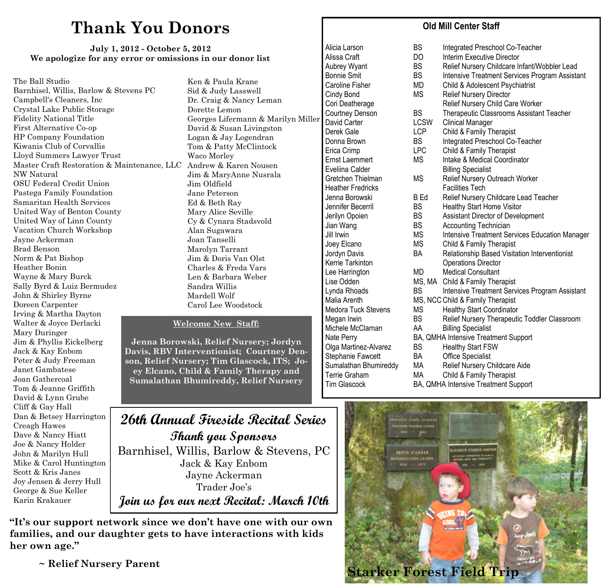### **Thank You Donors**

#### **July 1, 2012 - October 5, 2012 We apologize for any error or omissions in our donor list**

The Ball Studio Barnhisel, Willis, Barlow & Stevens PC Campbell's Cleaners, Inc Crystal Lake Public Storage Fidelity National Title First Alternative Co-op HP Company Foundation Kiwanis Club of Corvallis Lloyd Summers Lawyer Trust Master Craft Restoration & Maintenance, LLC Andrew & Karen Nousen NW Natural OSU Federal Credit Union Pastega Family Foundation Samaritan Health Services United Way of Benton County United Way of Linn County Vacation Church Workshop Jayne Ackerman Brad Benson Norm & Pat Bishop Heather Bonin Wayne & Mary Burck Sally Byrd & Luiz Bermudez John & Shirley Byrne Doreen Carpenter Irving & Martha Dayton Walter & Joyce Derlacki Mary Duringer Jim & Phyllis Eickelberg Jack & Kay Enbom Peter & Judy Freeman Janet Gambatese Joan Gathercoal Tom & Jeanne Griffith David & Lynn Grube Cliff & Gay Hall Dan & Betsey Harrington Creagh Hawes Dave & Nancy Hiatt Joe & Nancy Holder John & Marilyn Hull Mike & Carol Huntington Scott & Kris Janes Joy Jensen & Jerry Hull George & Sue Keller Karin Krakauer

Ken & Paula Krane Sid & Judy Lasswell Dr. Craig & Nancy Leman Dorette Lemon Georges Lifermann & Marilyn Miller David & Susan Livingston Logan & Jay Logendran Tom & Patty McClintock Waco Morley Jim & MaryAnne Nusrala Jim Oldfield Jane Peterson Ed & Beth Ray Mary Alice Seville Cy & Cynara Stadsvold Alan Sugawara Joan Tanselli Marolyn Tarrant Jim & Doris Van Olst Charles & Freda Vars Len & Barbara Weber Sandra Willis Mardell Wolf Carol Lee Woodstock

#### **Welcome New Staff:**

**Jenna Borowski, Relief Nursery; Jordyn Davis, RBV Interventionist; Courtney Denson, Relief Nursery; Tim Glascock, ITS; Joey Elcano, Child & Family Therapy and Sumalathan Bhumireddy, Relief Nursery** 

Heather Fredricks **Facilities** Tech

#### **Old Mill Center Staff**

Alicia Larson **BS** Integrated Preschool Co-Teacher Alissa Craft **DO** Interim Executive Director<br>
Aubrev Wyant BS Relief Nursery Childcare In Aubrey Wyant BS Relief Nursery Childcare Infant/Wobbler Lead Bonnie Smit **BS** Intensive Treatment Services Program Assistant Caroline Fisher MD Child & Adolescent Psychiatrist Cindy Bond MS Relief Nursery Director Cori Deatherage **Relief Nursery Child Care Worker** Courtney Denson BS Therapeutic Classrooms Assistant Teacher<br>
David Carter Classrooms Assistant Teacher<br>
LCSW Clinical Manager LCSW Clinical Manager Derek Gale **LCP** Child & Family Therapist Donna Brown BS Integrated Preschool Co-Teacher Erica Crimp LPC Child & Family Therapist Ernst Laemmert MS Intake & Medical Coordinator<br>
Eveliina Calder Billing Specialist **Billing Specialist** Gretchen Thielman MS Relief Nursery Outreach Worker Jenna Borowski B Ed Relief Nursery Childcare Lead Teacher Jennifer Becerril BS Healthy Start Home Visitor Jerilyn Opoien BS Assistant Director of Development Jian Wang BS Accounting Technician Jill Irwin **The Intensive Treatment Services Education Manager** Jul Joey Elcano MS Child & Family Therapist Jordyn Davis BA Relationship Based Visitation Interventionist Kerrie Tarkinton **Construction** Operations Director Lee Harrington **MD** Medical Consultant Lise Odden MS, MA Child & Family Therapist Lynda Rhoads **BS** Intensive Treatment Services Program Assistant Malia Arenth MS, NCC Child & Family Therapist<br>Medora Tuck Stevens MS Healthy Start Coordinator MS Healthy Start Coordinator Megan Irwin **BS** Relief Nursery Therapeutic Toddler Classroom Michele McClarnan AA Billing Specialist Nate Perry **BA, QMHA Intensive Treatment Support** Olga Martinez-Alvarez BS Healthy Start FSW Stephanie Fawcett BA Office Specialist Sumalathan Bhumireddy MA Relief Nursery Childcare Aide Terrie Graham MA Child & Family Therapist Tim Glascock BA, QMHA Intensive Treatment Support

#### **26th Annual Fireside Recital Series Thank you Sponsors**  Barnhisel, Willis, Barlow & Stevens, PC Jack & Kay Enbom Jayne Ackerman Trader Joe's **Join us for our next Recital: March 10th**

**"It's our support network since we don't have one with our own families, and our daughter gets to have interactions with kids her own age."**

 **~ Relief Nursery Parent**